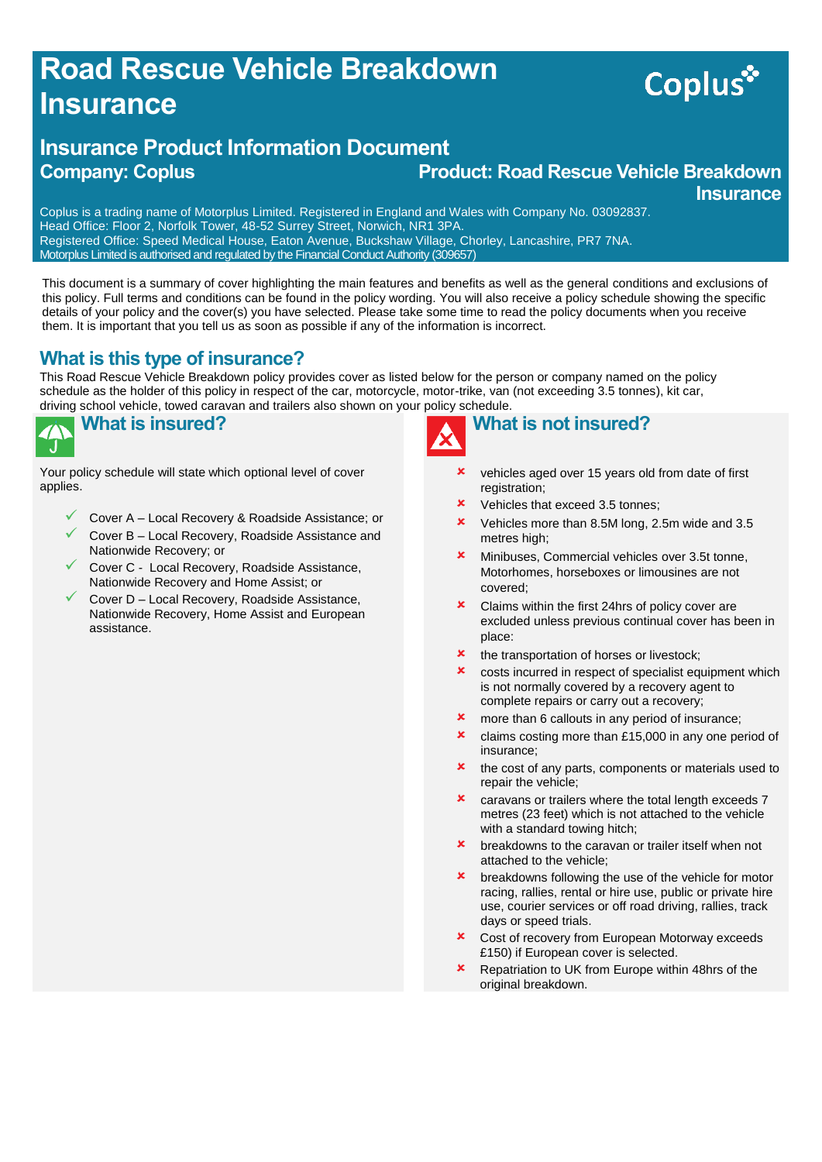## **Road Rescue Vehicle Breakdown Insurance**

# Coplus\*

#### **Insurance Product Information Document Company: Coplus Product: Road Rescue Vehicle Breakdown Insurance**

Coplus is a trading name of Motorplus Limited. Registered in England and Wales with Company No. 03092837. Head Office: Floor 2, Norfolk Tower, 48-52 Surrey Street, Norwich, NR1 3PA. Registered Office: Speed Medical House, Eaton Avenue, Buckshaw Village, Chorley, Lancashire, PR7 7NA. Motorplus Limited is authorised and regulated by the Financial Conduct Authority (309657)

This document is a summary of cover highlighting the main features and benefits as well as the general conditions and exclusions of this policy. Full terms and conditions can be found in the policy wording. You will also receive a policy schedule showing the specific details of your policy and the cover(s) you have selected. Please take some time to read the policy documents when you receive them. It is important that you tell us as soon as possible if any of the information is incorrect.

#### **What is this type of insurance?**

This Road Rescue Vehicle Breakdown policy provides cover as listed below for the person or company named on the policy schedule as the holder of this policy in respect of the car, motorcycle, motor-trike, van (not exceeding 3.5 tonnes), kit car, driving school vehicle, towed caravan and trailers also shown on your policy schedule.

|  | Wh |
|--|----|

## **What is insured?**

Your policy schedule will state which optional level of cover applies.

- Cover A Local Recovery & Roadside Assistance; or
- Cover B Local Recovery, Roadside Assistance and Nationwide Recovery; or
- Cover C Local Recovery, Roadside Assistance, Nationwide Recovery and Home Assist; or
- Cover D Local Recovery, Roadside Assistance, Nationwide Recovery, Home Assist and European assistance.



### **What is not insured?**

- vehicles aged over 15 years old from date of first registration:
- Vehicles that exceed 3.5 tonnes;
- **x** Vehicles more than 8.5M long, 2.5m wide and 3.5 metres high;
- **\*** Minibuses, Commercial vehicles over 3.5t tonne, Motorhomes, horseboxes or limousines are not covered;
- **x** Claims within the first 24hrs of policy cover are excluded unless previous continual cover has been in place:
- **\*** the transportation of horses or livestock:
- **x** costs incurred in respect of specialist equipment which is not normally covered by a recovery agent to complete repairs or carry out a recovery;
- **x** more than 6 callouts in any period of insurance;
- **x** claims costing more than £15,000 in any one period of insurance;
- $\star$  the cost of any parts, components or materials used to repair the vehicle;
- caravans or trailers where the total length exceeds 7 metres (23 feet) which is not attached to the vehicle with a standard towing hitch:
- breakdowns to the caravan or trailer itself when not attached to the vehicle;
- breakdowns following the use of the vehicle for motor racing, rallies, rental or hire use, public or private hire use, courier services or off road driving, rallies, track days or speed trials.
- Cost of recovery from European Motorway exceeds £150) if European cover is selected.
- **x** Repatriation to UK from Europe within 48hrs of the original breakdown.